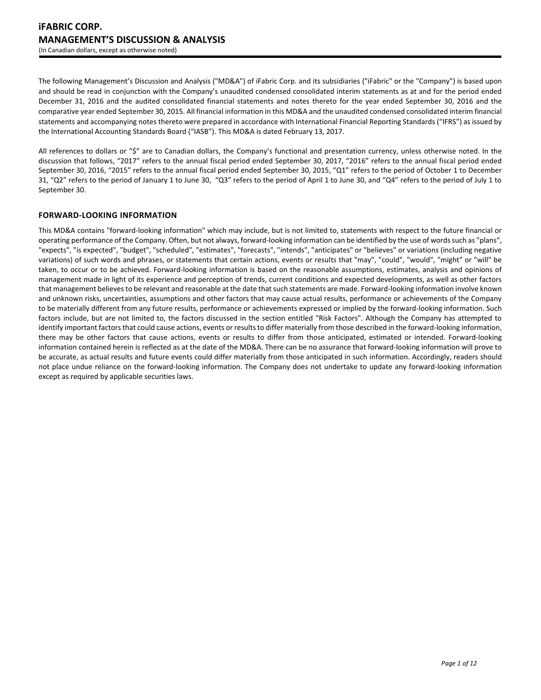The following Management's Discussion and Analysis ("MD&A") of iFabric Corp. and its subsidiaries ("iFabric" or the "Company") is based upon and should be read in conjunction with the Company's unaudited condensed consolidated interim statements as at and for the period ended December 31, 2016 and the audited consolidated financial statements and notes thereto for the year ended September 30, 2016 and the comparative year ended September 30, 2015. All financial information in this MD&A and the unaudited condensed consolidated interim financial statements and accompanying notes thereto were prepared in accordance with International Financial Reporting Standards ("IFRS") as issued by the International Accounting Standards Board ("IASB"). This MD&A is dated February 13, 2017.

All references to dollars or "\$" are to Canadian dollars, the Company's functional and presentation currency, unless otherwise noted. In the discussion that follows, "2017" refers to the annual fiscal period ended September 30, 2017, "2016" refers to the annual fiscal period ended September 30, 2016, "2015" refers to the annual fiscal period ended September 30, 2015, "Q1" refers to the period of October 1 to December 31, "Q2" refers to the period of January 1 to June 30, "Q3" refers to the period of April 1 to June 30, and "Q4" refers to the period of July 1 to September 30.

# **FORWARD-LOOKING INFORMATION**

This MD&A contains "forward-looking information" which may include, but is not limited to, statements with respect to the future financial or operating performance of the Company. Often, but not always, forward-looking information can be identified by the use of wordssuch as "plans", "expects", "is expected", "budget", "scheduled", "estimates", "forecasts", "intends", "anticipates" or "believes" or variations (including negative variations) of such words and phrases, or statements that certain actions, events or results that "may", "could", "would", "might" or "will" be taken, to occur or to be achieved. Forward-looking information is based on the reasonable assumptions, estimates, analysis and opinions of management made in light of its experience and perception of trends, current conditions and expected developments, as well as other factors that management believes to be relevant and reasonable at the date that such statements are made. Forward-looking information involve known and unknown risks, uncertainties, assumptions and other factors that may cause actual results, performance or achievements of the Company to be materially different from any future results, performance or achievements expressed or implied by the forward-looking information. Such factors include, but are not limited to, the factors discussed in the section entitled "Risk Factors". Although the Company has attempted to identify important factors that could cause actions, events or results to differ materially from those described in the forward-looking information, there may be other factors that cause actions, events or results to differ from those anticipated, estimated or intended. Forward-looking information contained herein is reflected as at the date of the MD&A. There can be no assurance that forward-looking information will prove to be accurate, as actual results and future events could differ materially from those anticipated in such information. Accordingly, readers should not place undue reliance on the forward-looking information. The Company does not undertake to update any forward-looking information except as required by applicable securities laws.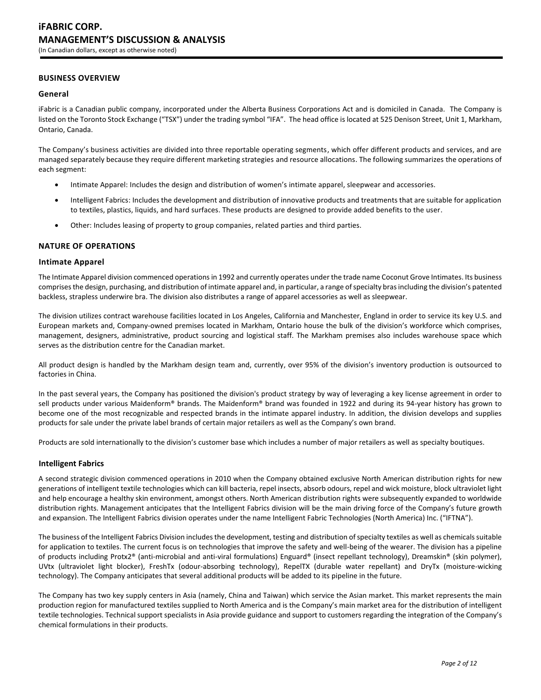# **BUSINESS OVERVIEW**

### **General**

iFabric is a Canadian public company, incorporated under the Alberta Business Corporations Act and is domiciled in Canada. The Company is listed on the Toronto Stock Exchange ("TSX") under the trading symbol "IFA". The head office is located at 525 Denison Street, Unit 1, Markham, Ontario, Canada.

The Company's business activities are divided into three reportable operating segments, which offer different products and services, and are managed separately because they require different marketing strategies and resource allocations. The following summarizes the operations of each segment:

- Intimate Apparel: Includes the design and distribution of women's intimate apparel, sleepwear and accessories.
- Intelligent Fabrics: Includes the development and distribution of innovative products and treatments that are suitable for application to textiles, plastics, liquids, and hard surfaces. These products are designed to provide added benefits to the user.
- Other: Includes leasing of property to group companies, related parties and third parties.

### **NATURE OF OPERATIONS**

### **Intimate Apparel**

The Intimate Apparel division commenced operations in 1992 and currently operates under the trade name Coconut Grove Intimates. Its business comprises the design, purchasing, and distribution of intimate apparel and, in particular, a range of specialty bras including the division's patented backless, strapless underwire bra. The division also distributes a range of apparel accessories as well as sleepwear.

The division utilizes contract warehouse facilities located in Los Angeles, California and Manchester, England in order to service its key U.S. and European markets and, Company-owned premises located in Markham, Ontario house the bulk of the division's workforce which comprises, management, designers, administrative, product sourcing and logistical staff. The Markham premises also includes warehouse space which serves as the distribution centre for the Canadian market.

All product design is handled by the Markham design team and, currently, over 95% of the division's inventory production is outsourced to factories in China.

In the past several years, the Company has positioned the division's product strategy by way of leveraging a key license agreement in order to sell products under various Maidenform® brands. The Maidenform® brand was founded in 1922 and during its 94-year history has grown to become one of the most recognizable and respected brands in the intimate apparel industry. In addition, the division develops and supplies products for sale under the private label brands of certain major retailers as well as the Company's own brand.

Products are sold internationally to the division's customer base which includes a number of major retailers as well as specialty boutiques.

### **Intelligent Fabrics**

A second strategic division commenced operations in 2010 when the Company obtained exclusive North American distribution rights for new generations of intelligent textile technologies which can kill bacteria, repel insects, absorb odours, repel and wick moisture, block ultraviolet light and help encourage a healthy skin environment, amongst others. North American distribution rights were subsequently expanded to worldwide distribution rights. Management anticipates that the Intelligent Fabrics division will be the main driving force of the Company's future growth and expansion. The Intelligent Fabrics division operates under the name Intelligent Fabric Technologies (North America) Inc. ("IFTNA").

The business of the Intelligent Fabrics Division includes the development, testing and distribution of specialty textiles as well as chemicals suitable for application to textiles. The current focus is on technologies that improve the safety and well-being of the wearer. The division has a pipeline of products including Protx2® (anti-microbial and anti-viral formulations) Enguard® (insect repellant technology), Dreamskin® (skin polymer), UVtx (ultraviolet light blocker), FreshTx (odour-absorbing technology), RepelTX (durable water repellant) and DryTx (moisture-wicking technology). The Company anticipates that several additional products will be added to its pipeline in the future.

The Company has two key supply centers in Asia (namely, China and Taiwan) which service the Asian market. This market represents the main production region for manufactured textiles supplied to North America and is the Company's main market area for the distribution of intelligent textile technologies. Technical support specialists in Asia provide guidance and support to customers regarding the integration of the Company's chemical formulations in their products.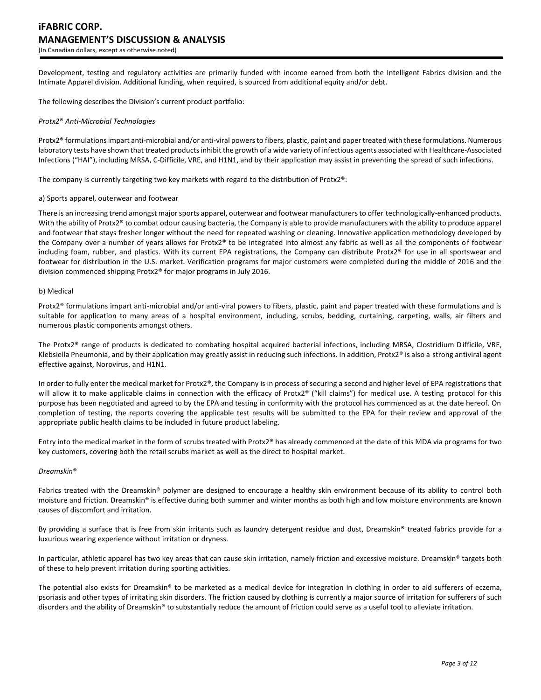Development, testing and regulatory activities are primarily funded with income earned from both the Intelligent Fabrics division and the Intimate Apparel division. Additional funding, when required, is sourced from additional equity and/or debt.

The following describes the Division's current product portfolio:

#### *Protx2*® *Anti-Microbial Technologies*

Protx2® formulations impart anti-microbial and/or anti-viral powers to fibers, plastic, paint and paper treated with these formulations. Numerous laboratory tests have shown that treated products inhibit the growth of a wide variety of infectious agents associated with Healthcare-Associated Infections ("HAI"), including MRSA, C-Difficile, VRE, and H1N1, and by their application may assist in preventing the spread of such infections.

The company is currently targeting two key markets with regard to the distribution of Protx2®:

#### a) Sports apparel, outerwear and footwear

There is an increasing trend amongst major sports apparel, outerwear and footwear manufacturers to offer technologically-enhanced products. With the ability of Protx2® to combat odour causing bacteria, the Company is able to provide manufacturers with the ability to produce apparel and footwear that stays fresher longer without the need for repeated washing or cleaning. Innovative application methodology developed by the Company over a number of years allows for Protx2® to be integrated into almost any fabric as well as all the components of footwear including foam, rubber, and plastics. With its current EPA registrations, the Company can distribute Protx2® for use in all sportswear and footwear for distribution in the U.S. market. Verification programs for major customers were completed during the middle of 2016 and the division commenced shipping Protx2® for major programs in July 2016.

#### b) Medical

Protx2® formulations impart anti-microbial and/or anti-viral powers to fibers, plastic, paint and paper treated with these formulations and is suitable for application to many areas of a hospital environment, including, scrubs, bedding, curtaining, carpeting, walls, air filters and numerous plastic components amongst others.

The Protx2® range of products is dedicated to combating hospital acquired bacterial infections, including MRSA, Clostridium Difficile, VRE, Klebsiella Pneumonia, and by their application may greatly assist in reducing such infections. In addition, Protx2® is also a strong antiviral agent effective against, Norovirus, and H1N1.

In order to fully enter the medical market for Protx2®, the Company is in process of securing a second and higher level of EPA registrations that will allow it to make applicable claims in connection with the efficacy of Protx2® ("kill claims") for medical use. A testing protocol for this purpose has been negotiated and agreed to by the EPA and testing in conformity with the protocol has commenced as at the date hereof. On completion of testing, the reports covering the applicable test results will be submitted to the EPA for their review and approval of the appropriate public health claims to be included in future product labeling.

Entry into the medical market in the form of scrubs treated with Protx2® has already commenced at the date of this MDA via programs for two key customers, covering both the retail scrubs market as well as the direct to hospital market.

#### *Dreamskin*®

Fabrics treated with the Dreamskin® polymer are designed to encourage a healthy skin environment because of its ability to control both moisture and friction. Dreamskin® is effective during both summer and winter months as both high and low moisture environments are known causes of discomfort and irritation.

By providing a surface that is free from skin irritants such as laundry detergent residue and dust, Dreamskin® treated fabrics provide for a luxurious wearing experience without irritation or dryness.

In particular, athletic apparel has two key areas that can cause skin irritation, namely friction and excessive moisture. Dreamskin® targets both of these to help prevent irritation during sporting activities.

The potential also exists for Dreamskin® to be marketed as a medical device for integration in clothing in order to aid sufferers of eczema, psoriasis and other types of irritating skin disorders. The friction caused by clothing is currently a major source of irritation for sufferers of such disorders and the ability of Dreamskin® to substantially reduce the amount of friction could serve as a useful tool to alleviate irritation.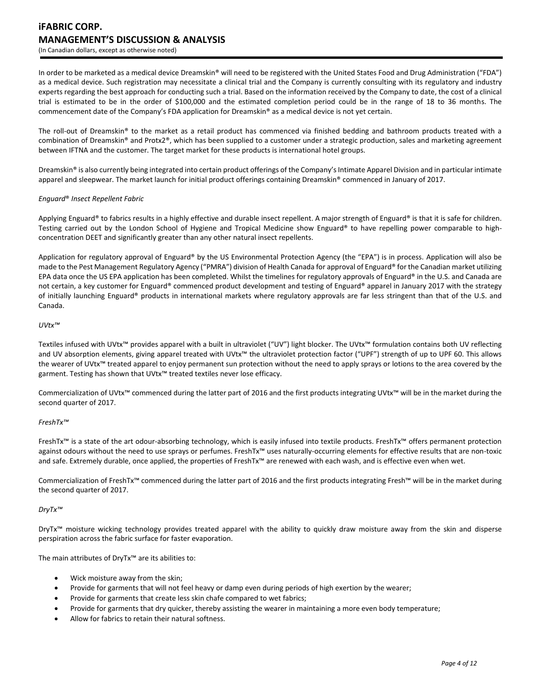# **iFABRIC CORP. MANAGEMENT'S DISCUSSION & ANALYSIS** (In Canadian dollars, except as otherwise noted)

In order to be marketed as a medical device Dreamskin® will need to be registered with the United States Food and Drug Administration ("FDA") as a medical device. Such registration may necessitate a clinical trial and the Company is currently consulting with its regulatory and industry experts regarding the best approach for conducting such a trial. Based on the information received by the Company to date, the cost of a clinical trial is estimated to be in the order of \$100,000 and the estimated completion period could be in the range of 18 to 36 months. The commencement date of the Company's FDA application for Dreamskin® as a medical device is not yet certain.

The roll-out of Dreamskin® to the market as a retail product has commenced via finished bedding and bathroom products treated with a combination of Dreamskin® and Protx2®, which has been supplied to a customer under a strategic production, sales and marketing agreement between IFTNA and the customer. The target market for these products is international hotel groups.

Dreamskin® is also currently being integrated into certain product offerings of the Company's Intimate Apparel Division and in particular intimate apparel and sleepwear. The market launch for initial product offerings containing Dreamskin® commenced in January of 2017.

### *Enguard*® *Insect Repellent Fabric*

Applying Enguard® to fabrics results in a highly effective and durable insect repellent. A major strength of Enguard® is that it is safe for children. Testing carried out by the London School of Hygiene and Tropical Medicine show Enguard® to have repelling power comparable to highconcentration DEET and significantly greater than any other natural insect repellents.

Application for regulatory approval of Enguard® by the US Environmental Protection Agency (the "EPA") is in process. Application will also be made to the Pest Management Regulatory Agency ("PMRA") division of Health Canada for approval of Enguard® for the Canadian market utilizing EPA data once the US EPA application has been completed. Whilst the timelines for regulatory approvals of Enguard® in the U.S. and Canada are not certain, a key customer for Enguard® commenced product development and testing of Enguard® apparel in January 2017 with the strategy of initially launching Enguard® products in international markets where regulatory approvals are far less stringent than that of the U.S. and Canada.

#### *UVtx™*

Textiles infused with UVtx™ provides apparel with a built in ultraviolet ("UV") light blocker. The UVtx™ formulation contains both UV reflecting and UV absorption elements, giving apparel treated with UVtx™ the ultraviolet protection factor ("UPF") strength of up to UPF 60. This allows the wearer of UVtx™ treated apparel to enjoy permanent sun protection without the need to apply sprays or lotions to the area covered by the garment. Testing has shown that UVtx<sup>™</sup> treated textiles never lose efficacy.

Commercialization of UVtx™ commenced during the latter part of 2016 and the first products integrating UVtx™ will be in the market during the second quarter of 2017.

### *FreshTx™*

FreshTx™ is a state of the art odour-absorbing technology, which is easily infused into textile products. FreshTx™ offers permanent protection against odours without the need to use sprays or perfumes. FreshTx™ uses naturally-occurring elements for effective results that are non-toxic and safe. Extremely durable, once applied, the properties of FreshTx™ are renewed with each wash, and is effective even when wet.

Commercialization of FreshTx™ commenced during the latter part of 2016 and the first products integrating Fresh™ will be in the market during the second quarter of 2017.

### *DryTx™*

DryTx™ moisture wicking technology provides treated apparel with the ability to quickly draw moisture away from the skin and disperse perspiration across the fabric surface for faster evaporation.

The main attributes of DryTx™ are its abilities to:

- Wick moisture away from the skin;
- Provide for garments that will not feel heavy or damp even during periods of high exertion by the wearer;
- Provide for garments that create less skin chafe compared to wet fabrics;
- Provide for garments that dry quicker, thereby assisting the wearer in maintaining a more even body temperature;
- Allow for fabrics to retain their natural softness.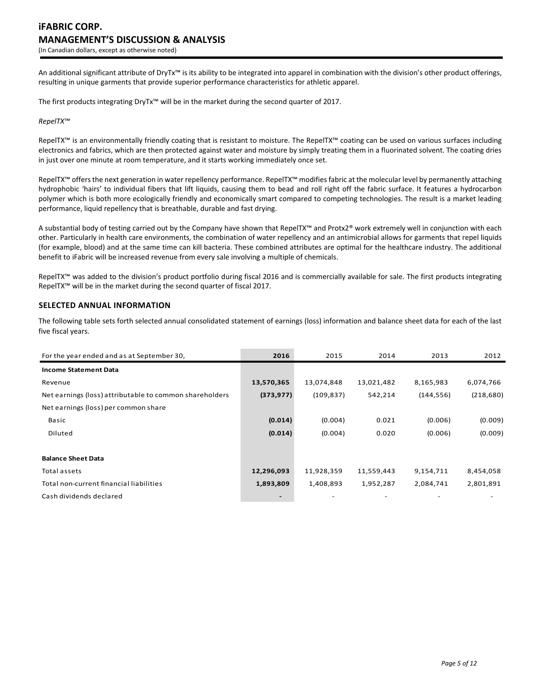An additional significant attribute of DryTx™ is its ability to be integrated into apparel in combination with the division's other product offerings, resulting in unique garments that provide superior performance characteristics for athletic apparel.

The first products integrating DryTx™ will be in the market during the second quarter of 2017.

#### *RepelTX™*

RepelTX™ is an environmentally friendly coating that is resistant to moisture. The RepelTX™ coating can be used on various surfaces including electronics and fabrics, which are then protected against water and moisture by simply treating them in a fluorinated solvent. The coating dries in just over one minute at room temperature, and it starts working immediately once set.

RepelTX™ offers the next generation in water repellency performance. RepelTX™ modifies fabric at the molecular level by permanently attaching hydrophobic 'hairs' to individual fibers that lift liquids, causing them to bead and roll right off the fabric surface. It features a hydrocarbon polymer which is both more ecologically friendly and economically smart compared to competing technologies. The result is a market leading performance, liquid repellency that is breathable, durable and fast drying.

A substantial body of testing carried out by the Company have shown that RepelTX™ and Protx2® work extremely well in conjunction with each other. Particularly in health care environments, the combination of water repellency and an antimicrobial allows for garments that repel liquids (for example, blood) and at the same time can kill bacteria. These combined attributes are optimal for the healthcare industry. The additional benefit to iFabric will be increased revenue from every sale involving a multiple of chemicals.

RepelTX™ was added to the division's product portfolio during fiscal 2016 and is commercially available for sale. The first products integrating RepelTX™ will be in the market during the second quarter of fiscal 2017.

# **SELECTED ANNUAL INFORMATION**

The following table sets forth selected annual consolidated statement of earnings (loss) information and balance sheet data for each of the last five fiscal years.

| For the year ended and as at September 30,              | 2016       | 2015       | 2014       | 2013       | 2012       |
|---------------------------------------------------------|------------|------------|------------|------------|------------|
| <b>Income Statement Data</b>                            |            |            |            |            |            |
| Revenue                                                 | 13,570,365 | 13,074,848 | 13,021,482 | 8,165,983  | 6,074,766  |
| Net earnings (loss) attributable to common shareholders | (373, 977) | (109, 837) | 542,214    | (144, 556) | (218, 680) |
| Net earnings (loss) per common share                    |            |            |            |            |            |
| Basic                                                   | (0.014)    | (0.004)    | 0.021      | (0.006)    | (0.009)    |
| Diluted                                                 | (0.014)    | (0.004)    | 0.020      | (0.006)    | (0.009)    |
|                                                         |            |            |            |            |            |
| <b>Balance Sheet Data</b>                               |            |            |            |            |            |
| Total assets                                            | 12,296,093 | 11,928,359 | 11,559,443 | 9,154,711  | 8,454,058  |
| Total non-current financial liabilities                 | 1,893,809  | 1,408,893  | 1,952,287  | 2,084,741  | 2,801,891  |
| Cash dividends declared                                 |            |            |            |            |            |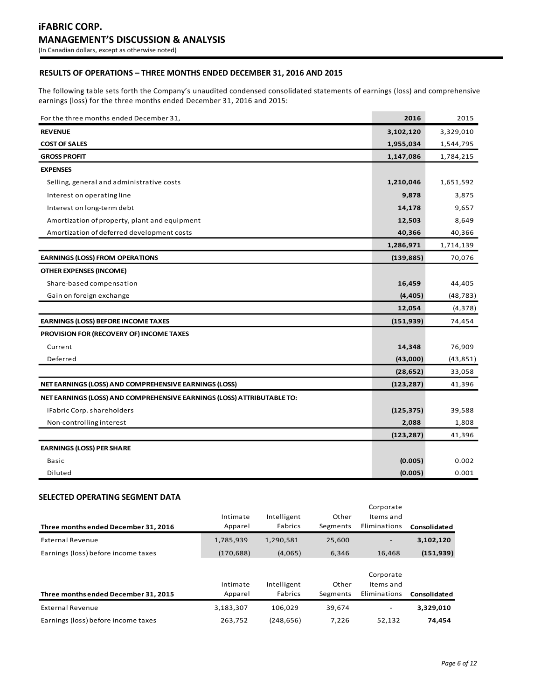# **RESULTS OF OPERATIONS – THREE MONTHS ENDED DECEMBER 31, 2016 AND 2015**

The following table sets forth the Company's unaudited condensed consolidated statements of earnings (loss) and comprehensive earnings (loss) for the three months ended December 31, 2016 and 2015:

| For the three months ended December 31,                                | 2016       | 2015      |
|------------------------------------------------------------------------|------------|-----------|
| <b>REVENUE</b>                                                         | 3,102,120  | 3,329,010 |
| <b>COST OF SALES</b>                                                   | 1,955,034  | 1,544,795 |
| <b>GROSS PROFIT</b>                                                    | 1,147,086  | 1,784,215 |
| <b>EXPENSES</b>                                                        |            |           |
| Selling, general and administrative costs                              | 1,210,046  | 1,651,592 |
| Interest on operating line                                             | 9,878      | 3,875     |
| Interest on long-term debt                                             | 14,178     | 9,657     |
| Amortization of property, plant and equipment                          | 12,503     | 8,649     |
| Amortization of deferred development costs                             | 40,366     | 40,366    |
|                                                                        | 1,286,971  | 1,714,139 |
| <b>EARNINGS (LOSS) FROM OPERATIONS</b>                                 | (139, 885) | 70,076    |
| <b>OTHER EXPENSES (INCOME)</b>                                         |            |           |
| Share-based compensation                                               | 16,459     | 44,405    |
| Gain on foreign exchange                                               | (4, 405)   | (48, 783) |
|                                                                        | 12,054     | (4, 378)  |
| <b>EARNINGS (LOSS) BEFORE INCOME TAXES</b>                             | (151, 939) | 74,454    |
| PROVISION FOR (RECOVERY OF) INCOME TAXES                               |            |           |
| Current                                                                | 14,348     | 76,909    |
| Deferred                                                               | (43,000)   | (43, 851) |
|                                                                        | (28, 652)  | 33,058    |
| NET EARNINGS (LOSS) AND COMPREHENSIVE EARNINGS (LOSS)                  | (123, 287) | 41,396    |
| NET EARNINGS (LOSS) AND COMPREHENSIVE EARNINGS (LOSS) ATTRIBUTABLE TO: |            |           |
| iFabric Corp. shareholders                                             | (125, 375) | 39,588    |
| Non-controlling interest                                               | 2,088      | 1,808     |
|                                                                        | (123, 287) | 41,396    |
| <b>EARNINGS (LOSS) PER SHARE</b>                                       |            |           |
| Basic                                                                  | (0.005)    | 0.002     |
| Diluted                                                                | (0.005)    | 0.001     |

### **SELECTED OPERATING SEGMENT DATA**

| Three months ended December 31, 2016 | Intimate<br>Apparel | Intelligent<br>Fabrics | Other<br>Segments | Corporate<br>Items and<br>Eliminations | Consolidated |
|--------------------------------------|---------------------|------------------------|-------------------|----------------------------------------|--------------|
| External Revenue                     | 1,785,939           | 1,290,581              | 25.600            |                                        | 3,102,120    |
| Earnings (loss) before income taxes  | (170, 688)          | (4,065)                | 6.346             | 16.468                                 | (151, 939)   |
| Three months ended December 31, 2015 | Intimate<br>Apparel | Intelligent<br>Fabrics | Other<br>Segments | Corporate<br>Items and<br>Eliminations | Consolidated |
| External Revenue                     | 3,183,307           | 106.029                | 39,674            | -                                      | 3,329,010    |
| Earnings (loss) before income taxes  | 263,752             | (248, 656)             | 7,226             | 52,132                                 | 74,454       |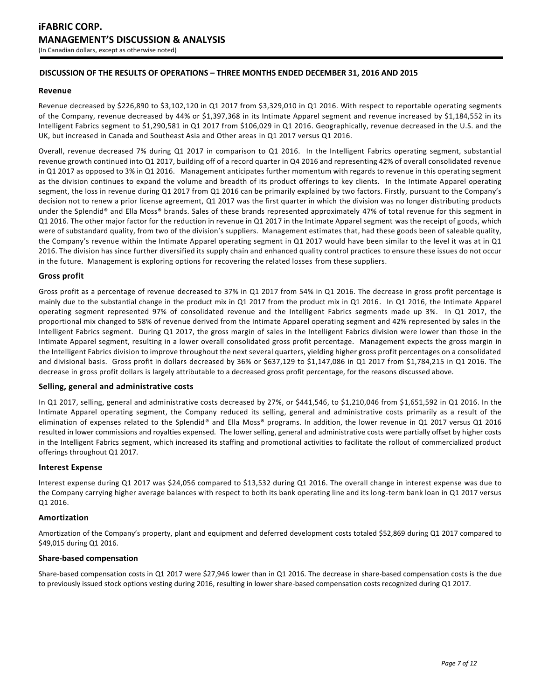# **DISCUSSION OF THE RESULTS OF OPERATIONS – THREE MONTHS ENDED DECEMBER 31, 2016 AND 2015**

### **Revenue**

Revenue decreased by \$226,890 to \$3,102,120 in Q1 2017 from \$3,329,010 in Q1 2016. With respect to reportable operating segments of the Company, revenue decreased by 44% or \$1,397,368 in its Intimate Apparel segment and revenue increased by \$1,184,552 in its Intelligent Fabrics segment to \$1,290,581 in Q1 2017 from \$106,029 in Q1 2016. Geographically, revenue decreased in the U.S. and the UK, but increased in Canada and Southeast Asia and Other areas in Q1 2017 versus Q1 2016.

Overall, revenue decreased 7% during Q1 2017 in comparison to Q1 2016. In the Intelligent Fabrics operating segment, substantial revenue growth continued into Q1 2017, building off of a record quarter in Q4 2016 and representing 42% of overall consolidated revenue in Q1 2017 as opposed to 3% in Q1 2016. Management anticipates further momentum with regards to revenue in this operating segment as the division continues to expand the volume and breadth of its product offerings to key clients. In the Intimate Apparel operating segment, the loss in revenue during Q1 2017 from Q1 2016 can be primarily explained by two factors. Firstly, pursuant to the Company's decision not to renew a prior license agreement, Q1 2017 was the first quarter in which the division was no longer distributing products under the Splendid® and Ella Moss® brands. Sales of these brands represented approximately 47% of total revenue for this segment in Q1 2016. The other major factor for the reduction in revenue in Q1 2017 in the Intimate Apparel segment was the receipt of goods, which were of substandard quality, from two of the division's suppliers. Management estimates that, had these goods been of saleable quality, the Company's revenue within the Intimate Apparel operating segment in Q1 2017 would have been similar to the level it was at in Q1 2016. The division has since further diversified its supply chain and enhanced quality control practices to ensure these issues do not occur in the future. Management is exploring options for recovering the related losses from these suppliers.

### **Gross profit**

Gross profit as a percentage of revenue decreased to 37% in Q1 2017 from 54% in Q1 2016. The decrease in gross profit percentage is mainly due to the substantial change in the product mix in Q1 2017 from the product mix in Q1 2016. In Q1 2016, the Intimate Apparel operating segment represented 97% of consolidated revenue and the Intelligent Fabrics segments made up 3%. In Q1 2017, the proportional mix changed to 58% of revenue derived from the Intimate Apparel operating segment and 42% represented by sales in the Intelligent Fabrics segment. During Q1 2017, the gross margin of sales in the Intelligent Fabrics division were lower than those in the Intimate Apparel segment, resulting in a lower overall consolidated gross profit percentage. Management expects the gross margin in the Intelligent Fabrics division to improve throughout the next several quarters, yielding higher gross profit percentages on a consolidated and divisional basis. Gross profit in dollars decreased by 36% or \$637,129 to \$1,147,086 in Q1 2017 from \$1,784,215 in Q1 2016. The decrease in gross profit dollars is largely attributable to a decreased gross profit percentage, for the reasons discussed above.

### **Selling, general and administrative costs**

In Q1 2017, selling, general and administrative costs decreased by 27%, or \$441,546, to \$1,210,046 from \$1,651,592 in Q1 2016. In the Intimate Apparel operating segment, the Company reduced its selling, general and administrative costs primarily as a result of the elimination of expenses related to the Splendid® and Ella Moss® programs. In addition, the lower revenue in Q1 2017 versus Q1 2016 resulted in lower commissions and royalties expensed. The lower selling, general and administrative costs were partially offset by higher costs in the Intelligent Fabrics segment, which increased its staffing and promotional activities to facilitate the rollout of commercialized product offerings throughout Q1 2017.

### **Interest Expense**

Interest expense during Q1 2017 was \$24,056 compared to \$13,532 during Q1 2016. The overall change in interest expense was due to the Company carrying higher average balances with respect to both its bank operating line and its long-term bank loan in Q1 2017 versus Q1 2016.

### **Amortization**

Amortization of the Company's property, plant and equipment and deferred development costs totaled \$52,869 during Q1 2017 compared to \$49,015 during Q1 2016.

### **Share-based compensation**

Share-based compensation costs in Q1 2017 were \$27,946 lower than in Q1 2016. The decrease in share-based compensation costs is the due to previously issued stock options vesting during 2016, resulting in lower share-based compensation costs recognized during Q1 2017.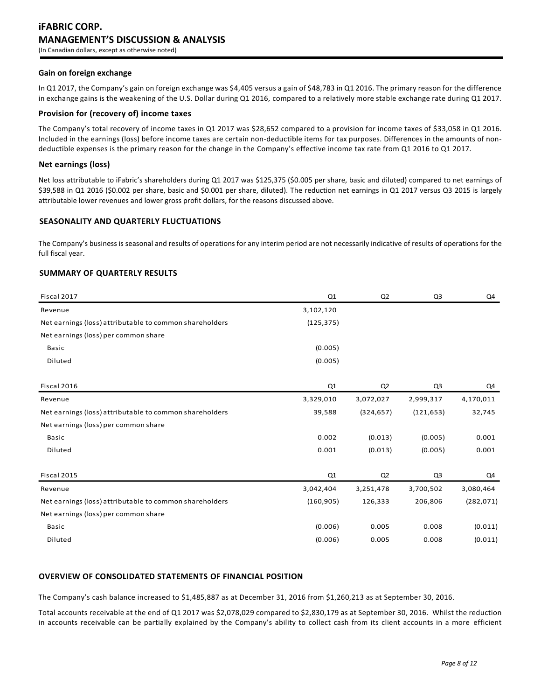### **Gain on foreign exchange**

In Q1 2017, the Company's gain on foreign exchange was \$4,405 versus a gain of \$48,783 in Q1 2016. The primary reason for the difference in exchange gains is the weakening of the U.S. Dollar during Q1 2016, compared to a relatively more stable exchange rate during Q1 2017.

### **Provision for (recovery of) income taxes**

The Company's total recovery of income taxes in Q1 2017 was \$28,652 compared to a provision for income taxes of \$33,058 in Q1 2016. Included in the earnings (loss) before income taxes are certain non-deductible items for tax purposes. Differences in the amounts of nondeductible expenses is the primary reason for the change in the Company's effective income tax rate from Q1 2016 to Q1 2017.

## **Net earnings (loss)**

Net loss attributable to iFabric's shareholders during Q1 2017 was \$125,375 (\$0.005 per share, basic and diluted) compared to net earnings of \$39,588 in Q1 2016 (\$0.002 per share, basic and \$0.001 per share, diluted). The reduction net earnings in Q1 2017 versus Q3 2015 is largely attributable lower revenues and lower gross profit dollars, for the reasons discussed above.

# **SEASONALITY AND QUARTERLY FLUCTUATIONS**

The Company's business is seasonal and results of operations for any interim period are not necessarily indicative of results of operations for the full fiscal year.

# **SUMMARY OF QUARTERLY RESULTS**

| Fiscal 2017                                             | Q1         | Q2             | Q <sub>3</sub> | Q4         |
|---------------------------------------------------------|------------|----------------|----------------|------------|
| Revenue                                                 | 3,102,120  |                |                |            |
| Net earnings (loss) attributable to common shareholders | (125, 375) |                |                |            |
| Net earnings (loss) per common share                    |            |                |                |            |
| <b>Basic</b>                                            | (0.005)    |                |                |            |
| Diluted                                                 | (0.005)    |                |                |            |
|                                                         |            |                |                |            |
| Fiscal 2016                                             | Q1         | Q <sub>2</sub> | Q <sub>3</sub> | Q4         |
| Revenue                                                 | 3,329,010  | 3,072,027      | 2,999,317      | 4,170,011  |
| Net earnings (loss) attributable to common shareholders | 39,588     | (324, 657)     | (121, 653)     | 32,745     |
| Net earnings (loss) per common share                    |            |                |                |            |
| Basic                                                   | 0.002      | (0.013)        | (0.005)        | 0.001      |
| Diluted                                                 | 0.001      | (0.013)        | (0.005)        | 0.001      |
|                                                         |            |                |                |            |
| Fiscal 2015                                             | Q1         | Q <sub>2</sub> | Q <sub>3</sub> | Q4         |
| Revenue                                                 | 3,042,404  | 3,251,478      | 3,700,502      | 3,080,464  |
| Net earnings (loss) attributable to common shareholders | (160, 905) | 126,333        | 206,806        | (282, 071) |
| Net earnings (loss) per common share                    |            |                |                |            |
| <b>Basic</b>                                            | (0.006)    | 0.005          | 0.008          | (0.011)    |
| Diluted                                                 | (0.006)    | 0.005          | 0.008          | (0.011)    |

# **OVERVIEW OF CONSOLIDATED STATEMENTS OF FINANCIAL POSITION**

The Company's cash balance increased to \$1,485,887 as at December 31, 2016 from \$1,260,213 as at September 30, 2016.

Total accounts receivable at the end of Q1 2017 was \$2,078,029 compared to \$2,830,179 as at September 30, 2016. Whilst the reduction in accounts receivable can be partially explained by the Company's ability to collect cash from its client accounts in a more efficient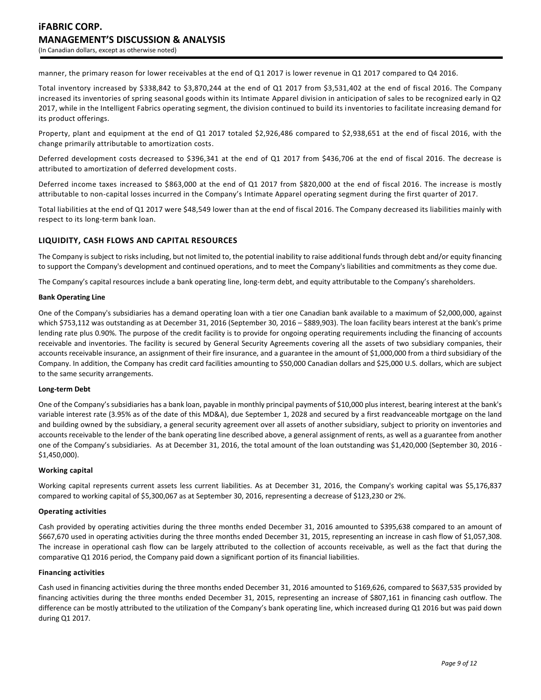manner, the primary reason for lower receivables at the end of Q1 2017 is lower revenue in Q1 2017 compared to Q4 2016.

Total inventory increased by \$338,842 to \$3,870,244 at the end of Q1 2017 from \$3,531,402 at the end of fiscal 2016. The Company increased its inventories of spring seasonal goods within its Intimate Apparel division in anticipation of sales to be recognized early in Q2 2017, while in the Intelligent Fabrics operating segment, the division continued to build its inventories to facilitate increasing demand for its product offerings.

Property, plant and equipment at the end of Q1 2017 totaled \$2,926,486 compared to \$2,938,651 at the end of fiscal 2016, with the change primarily attributable to amortization costs.

Deferred development costs decreased to \$396,341 at the end of Q1 2017 from \$436,706 at the end of fiscal 2016. The decrease is attributed to amortization of deferred development costs.

Deferred income taxes increased to \$863,000 at the end of Q1 2017 from \$820,000 at the end of fiscal 2016. The increase is mostly attributable to non-capital losses incurred in the Company's Intimate Apparel operating segment during the first quarter of 2017.

Total liabilities at the end of Q1 2017 were \$48,549 lower than at the end of fiscal 2016. The Company decreased its liabilities mainly with respect to its long-term bank loan.

# **LIQUIDITY, CASH FLOWS AND CAPITAL RESOURCES**

The Company is subject to risks including, but not limited to, the potential inability to raise additional funds through debt and/or equity financing to support the Company's development and continued operations, and to meet the Company's liabilities and commitments as they come due.

The Company's capital resources include a bank operating line, long-term debt, and equity attributable to the Company's shareholders.

#### **Bank Operating Line**

One of the Company's subsidiaries has a demand operating loan with a tier one Canadian bank available to a maximum of \$2,000,000, against which \$753,112 was outstanding as at December 31, 2016 (September 30, 2016 – \$889,903). The loan facility bears interest at the bank's prime lending rate plus 0.90%. The purpose of the credit facility is to provide for ongoing operating requirements including the financing of accounts receivable and inventories. The facility is secured by General Security Agreements covering all the assets of two subsidiary companies, their accounts receivable insurance, an assignment of their fire insurance, and a guarantee in the amount of \$1,000,000 from a third subsidiary of the Company. In addition, the Company has credit card facilities amounting to \$50,000 Canadian dollars and \$25,000 U.S. dollars, which are subject to the same security arrangements.

#### **Long-term Debt**

One of the Company's subsidiaries has a bank loan, payable in monthly principal payments of \$10,000 plus interest, bearing interest at the bank's variable interest rate (3.95% as of the date of this MD&A), due September 1, 2028 and secured by a first readvanceable mortgage on the land and building owned by the subsidiary, a general security agreement over all assets of another subsidiary, subject to priority on inventories and accounts receivable to the lender of the bank operating line described above, a general assignment of rents, as well as a guarantee from another one of the Company's subsidiaries. As at December 31, 2016, the total amount of the loan outstanding was \$1,420,000 (September 30, 2016 - \$1,450,000).

### **Working capital**

Working capital represents current assets less current liabilities. As at December 31, 2016, the Company's working capital was \$5,176,837 compared to working capital of \$5,300,067 as at September 30, 2016, representing a decrease of \$123,230 or 2%.

## **Operating activities**

Cash provided by operating activities during the three months ended December 31, 2016 amounted to \$395,638 compared to an amount of \$667,670 used in operating activities during the three months ended December 31, 2015, representing an increase in cash flow of \$1,057,308. The increase in operational cash flow can be largely attributed to the collection of accounts receivable, as well as the fact that during the comparative Q1 2016 period, the Company paid down a significant portion of its financial liabilities.

#### **Financing activities**

Cash used in financing activities during the three months ended December 31, 2016 amounted to \$169,626, compared to \$637,535 provided by financing activities during the three months ended December 31, 2015, representing an increase of \$807,161 in financing cash outflow. The difference can be mostly attributed to the utilization of the Company's bank operating line, which increased during Q1 2016 but was paid down during Q1 2017.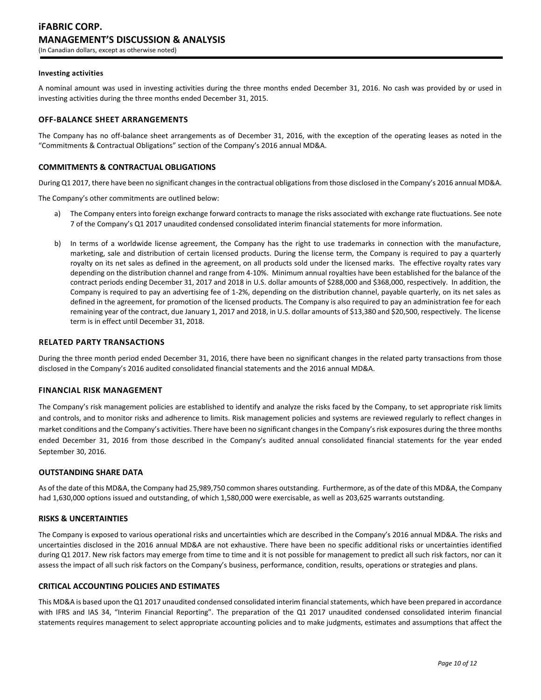#### **Investing activities**

A nominal amount was used in investing activities during the three months ended December 31, 2016. No cash was provided by or used in investing activities during the three months ended December 31, 2015.

### **OFF-BALANCE SHEET ARRANGEMENTS**

The Company has no off-balance sheet arrangements as of December 31, 2016, with the exception of the operating leases as noted in the "Commitments & Contractual Obligations" section of the Company's 2016 annual MD&A.

## **COMMITMENTS & CONTRACTUAL OBLIGATIONS**

During Q1 2017, there have been no significant changes in the contractual obligations from those disclosed in the Company's 2016 annual MD&A.

The Company's other commitments are outlined below:

- a) The Company enters into foreign exchange forward contracts to manage the risks associated with exchange rate fluctuations. See note 7 of the Company's Q1 2017 unaudited condensed consolidated interim financial statements for more information.
- b) In terms of a worldwide license agreement, the Company has the right to use trademarks in connection with the manufacture, marketing, sale and distribution of certain licensed products. During the license term, the Company is required to pay a quarterly royalty on its net sales as defined in the agreement, on all products sold under the licensed marks. The effective royalty rates vary depending on the distribution channel and range from 4-10%. Minimum annual royalties have been established for the balance of the contract periods ending December 31, 2017 and 2018 in U.S. dollar amounts of \$288,000 and \$368,000, respectively. In addition, the Company is required to pay an advertising fee of 1-2%, depending on the distribution channel, payable quarterly, on its net sales as defined in the agreement, for promotion of the licensed products. The Company is also required to pay an administration fee for each remaining year of the contract, due January 1, 2017 and 2018, in U.S. dollar amounts of \$13,380 and \$20,500, respectively. The license term is in effect until December 31, 2018.

### **RELATED PARTY TRANSACTIONS**

During the three month period ended December 31, 2016, there have been no significant changes in the related party transactions from those disclosed in the Company's 2016 audited consolidated financial statements and the 2016 annual MD&A.

### **FINANCIAL RISK MANAGEMENT**

The Company's risk management policies are established to identify and analyze the risks faced by the Company, to set appropriate risk limits and controls, and to monitor risks and adherence to limits. Risk management policies and systems are reviewed regularly to reflect changes in market conditions and the Company's activities. There have been no significant changes in the Company's risk exposures during the three months ended December 31, 2016 from those described in the Company's audited annual consolidated financial statements for the year ended September 30, 2016.

# **OUTSTANDING SHARE DATA**

As of the date of this MD&A, the Company had 25,989,750 common shares outstanding. Furthermore, as of the date of this MD&A, the Company had 1,630,000 options issued and outstanding, of which 1,580,000 were exercisable, as well as 203,625 warrants outstanding.

### **RISKS & UNCERTAINTIES**

The Company is exposed to various operational risks and uncertainties which are described in the Company's 2016 annual MD&A. The risks and uncertainties disclosed in the 2016 annual MD&A are not exhaustive. There have been no specific additional risks or uncertainties identified during Q1 2017. New risk factors may emerge from time to time and it is not possible for management to predict all such risk factors, nor can it assess the impact of all such risk factors on the Company's business, performance, condition, results, operations or strategies and plans.

### **CRITICAL ACCOUNTING POLICIES AND ESTIMATES**

This MD&A is based upon the Q1 2017 unaudited condensed consolidated interim financial statements, which have been prepared in accordance with IFRS and IAS 34, "Interim Financial Reporting". The preparation of the Q1 2017 unaudited condensed consolidated interim financial statements requires management to select appropriate accounting policies and to make judgments, estimates and assumptions that affect the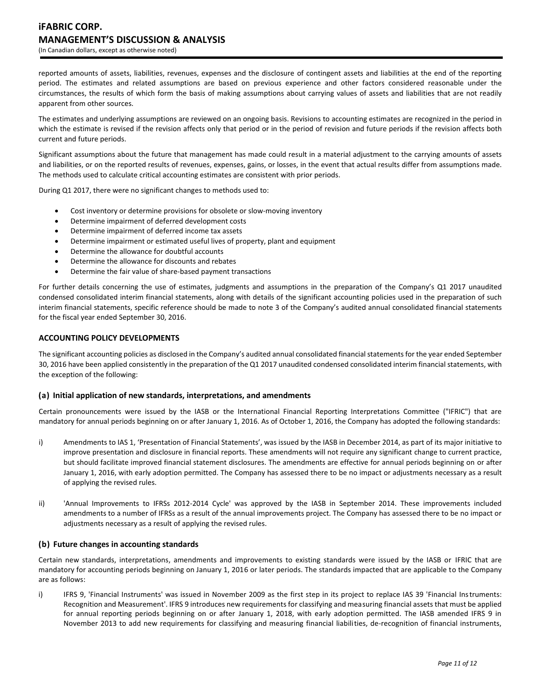# **iFABRIC CORP. MANAGEMENT'S DISCUSSION & ANALYSIS** (In Canadian dollars, except as otherwise noted)

reported amounts of assets, liabilities, revenues, expenses and the disclosure of contingent assets and liabilities at the end of the reporting period. The estimates and related assumptions are based on previous experience and other factors considered reasonable under the circumstances, the results of which form the basis of making assumptions about carrying values of assets and liabilities that are not readily apparent from other sources.

The estimates and underlying assumptions are reviewed on an ongoing basis. Revisions to accounting estimates are recognized in the period in which the estimate is revised if the revision affects only that period or in the period of revision and future periods if the revision affects both current and future periods.

Significant assumptions about the future that management has made could result in a material adjustment to the carrying amounts of assets and liabilities, or on the reported results of revenues, expenses, gains, or losses, in the event that actual results differ from assumptions made. The methods used to calculate critical accounting estimates are consistent with prior periods.

During Q1 2017, there were no significant changes to methods used to:

- Cost inventory or determine provisions for obsolete or slow-moving inventory
- Determine impairment of deferred development costs
- Determine impairment of deferred income tax assets
- Determine impairment or estimated useful lives of property, plant and equipment
- Determine the allowance for doubtful accounts
- Determine the allowance for discounts and rebates
- Determine the fair value of share-based payment transactions

For further details concerning the use of estimates, judgments and assumptions in the preparation of the Company's Q1 2017 unaudited condensed consolidated interim financial statements, along with details of the significant accounting policies used in the preparation of such interim financial statements, specific reference should be made to note 3 of the Company's audited annual consolidated financial statements for the fiscal year ended September 30, 2016.

### **ACCOUNTING POLICY DEVELOPMENTS**

The significant accounting policies as disclosed in the Company's audited annual consolidated financial statements for the year ended September 30, 2016 have been applied consistently in the preparation of the Q1 2017 unaudited condensed consolidated interim financial statements, with the exception of the following:

### **(a) Initial application of new standards, interpretations, and amendments**

Certain pronouncements were issued by the IASB or the International Financial Reporting Interpretations Committee ("IFRIC") that are mandatory for annual periods beginning on or after January 1, 2016. As of October 1, 2016, the Company has adopted the following standards:

- i) Amendments to IAS 1, 'Presentation of Financial Statements', was issued by the IASB in December 2014, as part of its major initiative to improve presentation and disclosure in financial reports. These amendments will not require any significant change to current practice, but should facilitate improved financial statement disclosures. The amendments are effective for annual periods beginning on or after January 1, 2016, with early adoption permitted. The Company has assessed there to be no impact or adjustments necessary as a result of applying the revised rules.
- ii) 'Annual Improvements to IFRSs 2012-2014 Cycle' was approved by the IASB in September 2014. These improvements included amendments to a number of IFRSs as a result of the annual improvements project. The Company has assessed there to be no impact or adjustments necessary as a result of applying the revised rules.

# **(b) Future changes in accounting standards**

Certain new standards, interpretations, amendments and improvements to existing standards were issued by the IASB or IFRIC that are mandatory for accounting periods beginning on January 1, 2016 or later periods. The standards impacted that are applicable to the Company are as follows:

i) IFRS 9, 'Financial Instruments' was issued in November 2009 as the first step in its project to replace IAS 39 'Financial Instruments: Recognition and Measurement'. IFRS 9 introduces new requirements for classifying and measuring financial assets that must be applied for annual reporting periods beginning on or after January 1, 2018, with early adoption permitted. The IASB amended IFRS 9 in November 2013 to add new requirements for classifying and measuring financial liabilities, de-recognition of financial instruments,